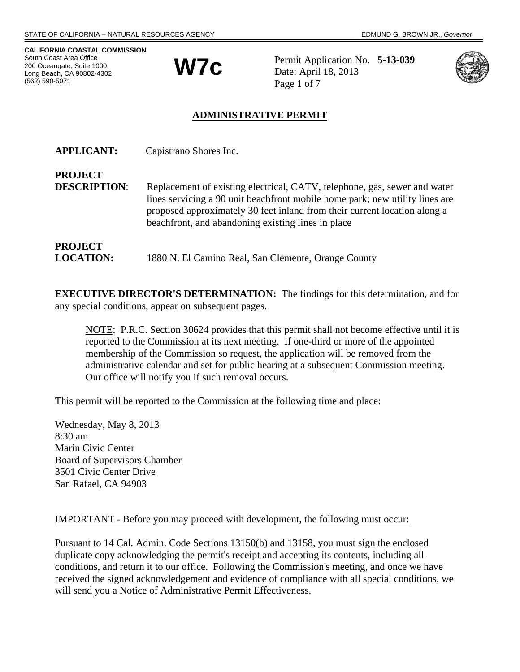**CALIFORNIA COASTAL COMMISSION** South Coast Area Office 200 Oceangate, Suite 1000 Long Beach, CA 90802-4302 (562) 590-5071



Permit Application No. **5-13-039** Date: April 18, 2013 Page 1 of 7



## **ADMINISTRATIVE PERMIT**

| <b>APPLICANT:</b>   | Capistrano Shores Inc.                                                                                                                                                                                                                                                                       |
|---------------------|----------------------------------------------------------------------------------------------------------------------------------------------------------------------------------------------------------------------------------------------------------------------------------------------|
| <b>PROJECT</b>      |                                                                                                                                                                                                                                                                                              |
| <b>DESCRIPTION:</b> | Replacement of existing electrical, CATV, telephone, gas, sewer and water<br>lines servicing a 90 unit beachfront mobile home park; new utility lines are<br>proposed approximately 30 feet inland from their current location along a<br>beachfront, and abandoning existing lines in place |
| <b>PROJECT</b>      |                                                                                                                                                                                                                                                                                              |
| <b>LOCATION:</b>    | 1880 N. El Camino Real, San Clemente, Orange County                                                                                                                                                                                                                                          |

**EXECUTIVE DIRECTOR'S DETERMINATION:** The findings for this determination, and for any special conditions, appear on subsequent pages.

NOTE: P.R.C. Section 30624 provides that this permit shall not become effective until it is reported to the Commission at its next meeting. If one-third or more of the appointed membership of the Commission so request, the application will be removed from the administrative calendar and set for public hearing at a subsequent Commission meeting. Our office will notify you if such removal occurs.

This permit will be reported to the Commission at the following time and place:

Wednesday, May 8, 2013 8:30 am Marin Civic Center Board of Supervisors Chamber 3501 Civic Center Drive San Rafael, CA 94903

### IMPORTANT - Before you may proceed with development, the following must occur:

Pursuant to 14 Cal. Admin. Code Sections 13150(b) and 13158, you must sign the enclosed duplicate copy acknowledging the permit's receipt and accepting its contents, including all conditions, and return it to our office. Following the Commission's meeting, and once we have received the signed acknowledgement and evidence of compliance with all special conditions, we will send you a Notice of Administrative Permit Effectiveness.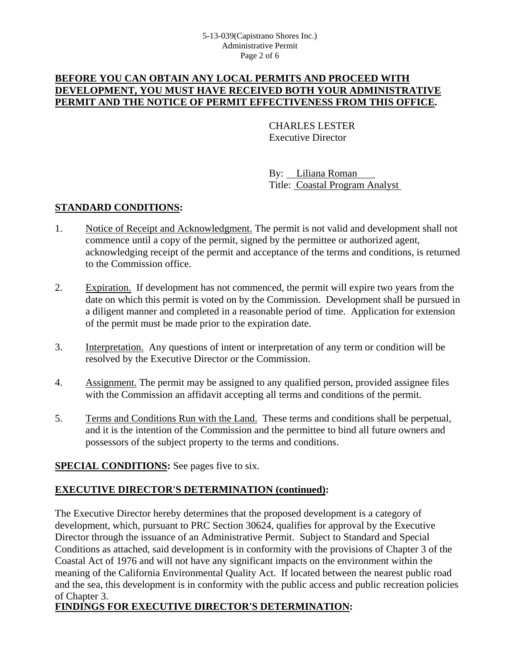### **BEFORE YOU CAN OBTAIN ANY LOCAL PERMITS AND PROCEED WITH DEVELOPMENT, YOU MUST HAVE RECEIVED BOTH YOUR ADMINISTRATIVE PERMIT AND THE NOTICE OF PERMIT EFFECTIVENESS FROM THIS OFFICE.**

CHARLES LESTER Executive Director

By: Liliana Roman Title: Coastal Program Analyst

## **STANDARD CONDITIONS:**

- 1. Notice of Receipt and Acknowledgment. The permit is not valid and development shall not commence until a copy of the permit, signed by the permittee or authorized agent, acknowledging receipt of the permit and acceptance of the terms and conditions, is returned to the Commission office.
- 2. Expiration. If development has not commenced, the permit will expire two years from the date on which this permit is voted on by the Commission. Development shall be pursued in a diligent manner and completed in a reasonable period of time. Application for extension of the permit must be made prior to the expiration date.
- 3. Interpretation. Any questions of intent or interpretation of any term or condition will be resolved by the Executive Director or the Commission.
- 4. Assignment. The permit may be assigned to any qualified person, provided assignee files with the Commission an affidavit accepting all terms and conditions of the permit.
- 5. Terms and Conditions Run with the Land. These terms and conditions shall be perpetual, and it is the intention of the Commission and the permittee to bind all future owners and possessors of the subject property to the terms and conditions.

### **SPECIAL CONDITIONS:** See pages five to six.

### **EXECUTIVE DIRECTOR'S DETERMINATION (continued):**

The Executive Director hereby determines that the proposed development is a category of development, which, pursuant to PRC Section 30624, qualifies for approval by the Executive Director through the issuance of an Administrative Permit. Subject to Standard and Special Conditions as attached, said development is in conformity with the provisions of Chapter 3 of the Coastal Act of 1976 and will not have any significant impacts on the environment within the meaning of the California Environmental Quality Act. If located between the nearest public road and the sea, this development is in conformity with the public access and public recreation policies of Chapter 3.

# **FINDINGS FOR EXECUTIVE DIRECTOR'S DETERMINATION:**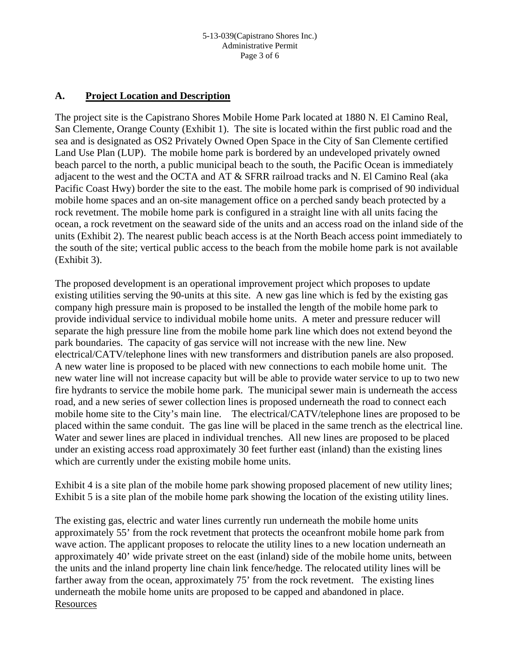### **A. Project Location and Description**

The project site is the Capistrano Shores Mobile Home Park located at 1880 N. El Camino Real, San Clemente, Orange County (Exhibit 1). The site is located within the first public road and the sea and is designated as OS2 Privately Owned Open Space in the City of San Clemente certified Land Use Plan (LUP). The mobile home park is bordered by an undeveloped privately owned beach parcel to the north, a public municipal beach to the south, the Pacific Ocean is immediately adjacent to the west and the OCTA and AT & SFRR railroad tracks and N. El Camino Real (aka Pacific Coast Hwy) border the site to the east. The mobile home park is comprised of 90 individual mobile home spaces and an on-site management office on a perched sandy beach protected by a rock revetment. The mobile home park is configured in a straight line with all units facing the ocean, a rock revetment on the seaward side of the units and an access road on the inland side of the units (Exhibit 2). The nearest public beach access is at the North Beach access point immediately to the south of the site; vertical public access to the beach from the mobile home park is not available (Exhibit 3).

The proposed development is an operational improvement project which proposes to update existing utilities serving the 90-units at this site. A new gas line which is fed by the existing gas company high pressure main is proposed to be installed the length of the mobile home park to provide individual service to individual mobile home units. A meter and pressure reducer will separate the high pressure line from the mobile home park line which does not extend beyond the park boundaries. The capacity of gas service will not increase with the new line. New electrical/CATV/telephone lines with new transformers and distribution panels are also proposed. A new water line is proposed to be placed with new connections to each mobile home unit. The new water line will not increase capacity but will be able to provide water service to up to two new fire hydrants to service the mobile home park. The municipal sewer main is underneath the access road, and a new series of sewer collection lines is proposed underneath the road to connect each mobile home site to the City's main line. The electrical/CATV/telephone lines are proposed to be placed within the same conduit. The gas line will be placed in the same trench as the electrical line. Water and sewer lines are placed in individual trenches. All new lines are proposed to be placed under an existing access road approximately 30 feet further east (inland) than the existing lines which are currently under the existing mobile home units.

Exhibit 4 is a site plan of the mobile home park showing proposed placement of new utility lines; Exhibit 5 is a site plan of the mobile home park showing the location of the existing utility lines.

The existing gas, electric and water lines currently run underneath the mobile home units approximately 55' from the rock revetment that protects the oceanfront mobile home park from wave action. The applicant proposes to relocate the utility lines to a new location underneath an approximately 40' wide private street on the east (inland) side of the mobile home units, between the units and the inland property line chain link fence/hedge. The relocated utility lines will be farther away from the ocean, approximately 75' from the rock revetment. The existing lines underneath the mobile home units are proposed to be capped and abandoned in place. Resources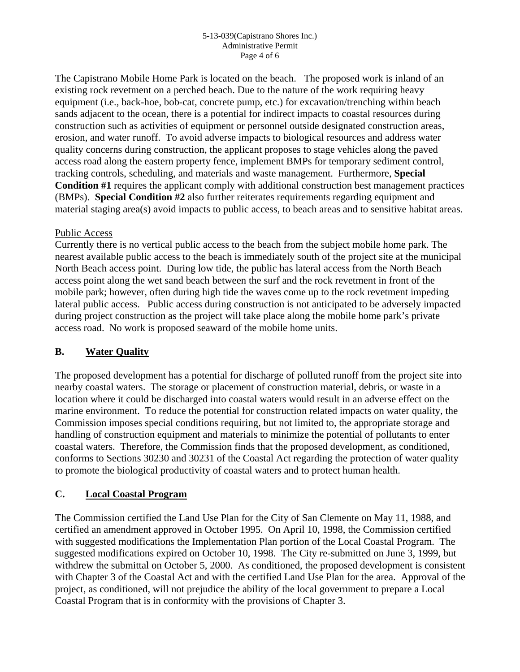#### 5-13-039(Capistrano Shores Inc.) Administrative Permit Page 4 of 6

The Capistrano Mobile Home Park is located on the beach. The proposed work is inland of an existing rock revetment on a perched beach. Due to the nature of the work requiring heavy equipment (i.e., back-hoe, bob-cat, concrete pump, etc.) for excavation/trenching within beach sands adjacent to the ocean, there is a potential for indirect impacts to coastal resources during construction such as activities of equipment or personnel outside designated construction areas, erosion, and water runoff. To avoid adverse impacts to biological resources and address water quality concerns during construction, the applicant proposes to stage vehicles along the paved access road along the eastern property fence, implement BMPs for temporary sediment control, tracking controls, scheduling, and materials and waste management. Furthermore, **Special Condition #1** requires the applicant comply with additional construction best management practices (BMPs). **Special Condition #2** also further reiterates requirements regarding equipment and material staging area(s) avoid impacts to public access, to beach areas and to sensitive habitat areas.

### Public Access

Currently there is no vertical public access to the beach from the subject mobile home park. The nearest available public access to the beach is immediately south of the project site at the municipal North Beach access point. During low tide, the public has lateral access from the North Beach access point along the wet sand beach between the surf and the rock revetment in front of the mobile park; however, often during high tide the waves come up to the rock revetment impeding lateral public access. Public access during construction is not anticipated to be adversely impacted during project construction as the project will take place along the mobile home park's private access road. No work is proposed seaward of the mobile home units.

### **B. Water Quality**

The proposed development has a potential for discharge of polluted runoff from the project site into nearby coastal waters. The storage or placement of construction material, debris, or waste in a location where it could be discharged into coastal waters would result in an adverse effect on the marine environment. To reduce the potential for construction related impacts on water quality, the Commission imposes special conditions requiring, but not limited to, the appropriate storage and handling of construction equipment and materials to minimize the potential of pollutants to enter coastal waters. Therefore, the Commission finds that the proposed development, as conditioned, conforms to Sections 30230 and 30231 of the Coastal Act regarding the protection of water quality to promote the biological productivity of coastal waters and to protect human health.

### **C. Local Coastal Program**

The Commission certified the Land Use Plan for the City of San Clemente on May 11, 1988, and certified an amendment approved in October 1995. On April 10, 1998, the Commission certified with suggested modifications the Implementation Plan portion of the Local Coastal Program. The suggested modifications expired on October 10, 1998. The City re-submitted on June 3, 1999, but withdrew the submittal on October 5, 2000. As conditioned, the proposed development is consistent with Chapter 3 of the Coastal Act and with the certified Land Use Plan for the area. Approval of the project, as conditioned, will not prejudice the ability of the local government to prepare a Local Coastal Program that is in conformity with the provisions of Chapter 3.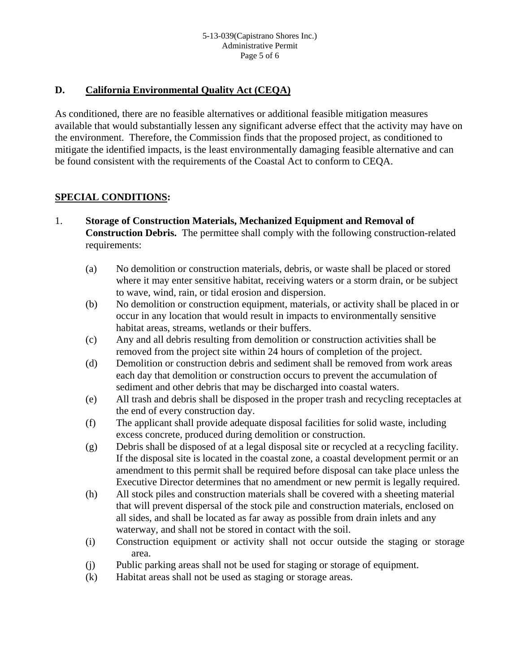### **D. California Environmental Quality Act (CEQA)**

As conditioned, there are no feasible alternatives or additional feasible mitigation measures available that would substantially lessen any significant adverse effect that the activity may have on the environment. Therefore, the Commission finds that the proposed project, as conditioned to mitigate the identified impacts, is the least environmentally damaging feasible alternative and can be found consistent with the requirements of the Coastal Act to conform to CEQA.

## **SPECIAL CONDITIONS:**

- 1. **Storage of Construction Materials, Mechanized Equipment and Removal of Construction Debris.** The permittee shall comply with the following construction-related requirements:
	- (a) No demolition or construction materials, debris, or waste shall be placed or stored where it may enter sensitive habitat, receiving waters or a storm drain, or be subject to wave, wind, rain, or tidal erosion and dispersion.
	- (b) No demolition or construction equipment, materials, or activity shall be placed in or occur in any location that would result in impacts to environmentally sensitive habitat areas, streams, wetlands or their buffers.
	- (c) Any and all debris resulting from demolition or construction activities shall be removed from the project site within 24 hours of completion of the project.
	- (d) Demolition or construction debris and sediment shall be removed from work areas each day that demolition or construction occurs to prevent the accumulation of sediment and other debris that may be discharged into coastal waters.
	- (e) All trash and debris shall be disposed in the proper trash and recycling receptacles at the end of every construction day.
	- (f) The applicant shall provide adequate disposal facilities for solid waste, including excess concrete, produced during demolition or construction.
	- (g) Debris shall be disposed of at a legal disposal site or recycled at a recycling facility. If the disposal site is located in the coastal zone, a coastal development permit or an amendment to this permit shall be required before disposal can take place unless the Executive Director determines that no amendment or new permit is legally required.
	- (h) All stock piles and construction materials shall be covered with a sheeting material that will prevent dispersal of the stock pile and construction materials, enclosed on all sides, and shall be located as far away as possible from drain inlets and any waterway, and shall not be stored in contact with the soil.
	- (i) Construction equipment or activity shall not occur outside the staging or storage area.
	- (j) Public parking areas shall not be used for staging or storage of equipment.
	- (k) Habitat areas shall not be used as staging or storage areas.